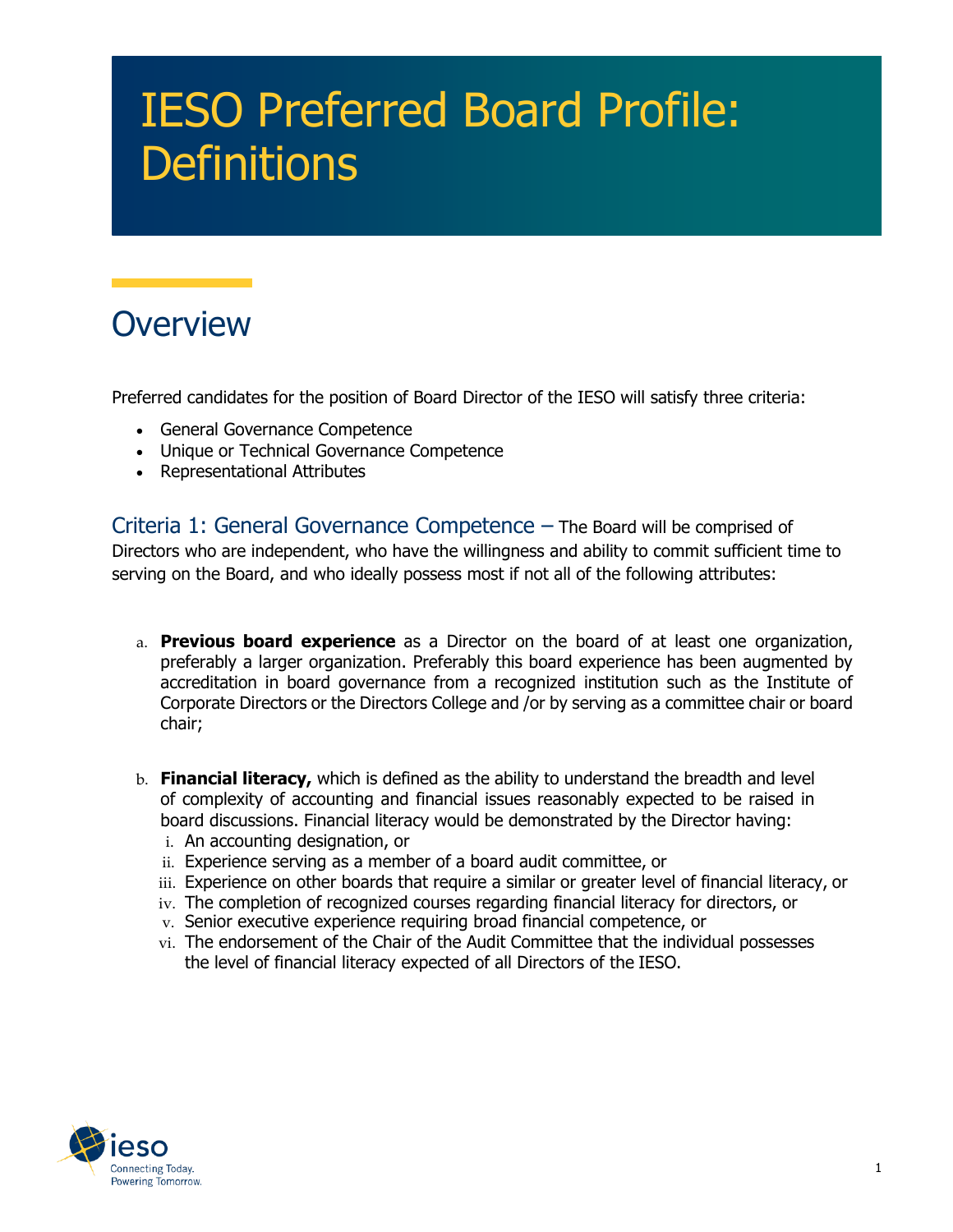## IESO Preferred Board Profile: **Definitions**

## **Overview**

Preferred candidates for the position of Board Director of the IESO will satisfy three criteria:

- General Governance Competence
- Unique or Technical Governance Competence
- Representational Attributes

Criteria 1: General Governance Competence – The Board will be comprised of Directors who are independent, who have the willingness and ability to commit sufficient time to serving on the Board, and who ideally possess most if not all of the following attributes:

- a. **Previous board experience** as a Director on the board of at least one organization, preferably a larger organization. Preferably this board experience has been augmented by accreditation in board governance from a recognized institution such as the Institute of Corporate Directors or the Directors College and /or by serving as a committee chair or board chair;
- b. **Financial literacy,** which is defined as the ability to understand the breadth and level of complexity of accounting and financial issues reasonably expected to be raised in board discussions. Financial literacy would be demonstrated by the Director having:
	- i. An accounting designation, or
	- ii. Experience serving as a member of a board audit committee, or
	- iii. Experience on other boards that require a similar or greater level of financial literacy, or
	- iv. The completion of recognized courses regarding financial literacy for directors, or
	- v. Senior executive experience requiring broad financial competence, or
	- vi. The endorsement of the Chair of the Audit Committee that the individual possesses the level of financial literacy expected of all Directors of the IESO.

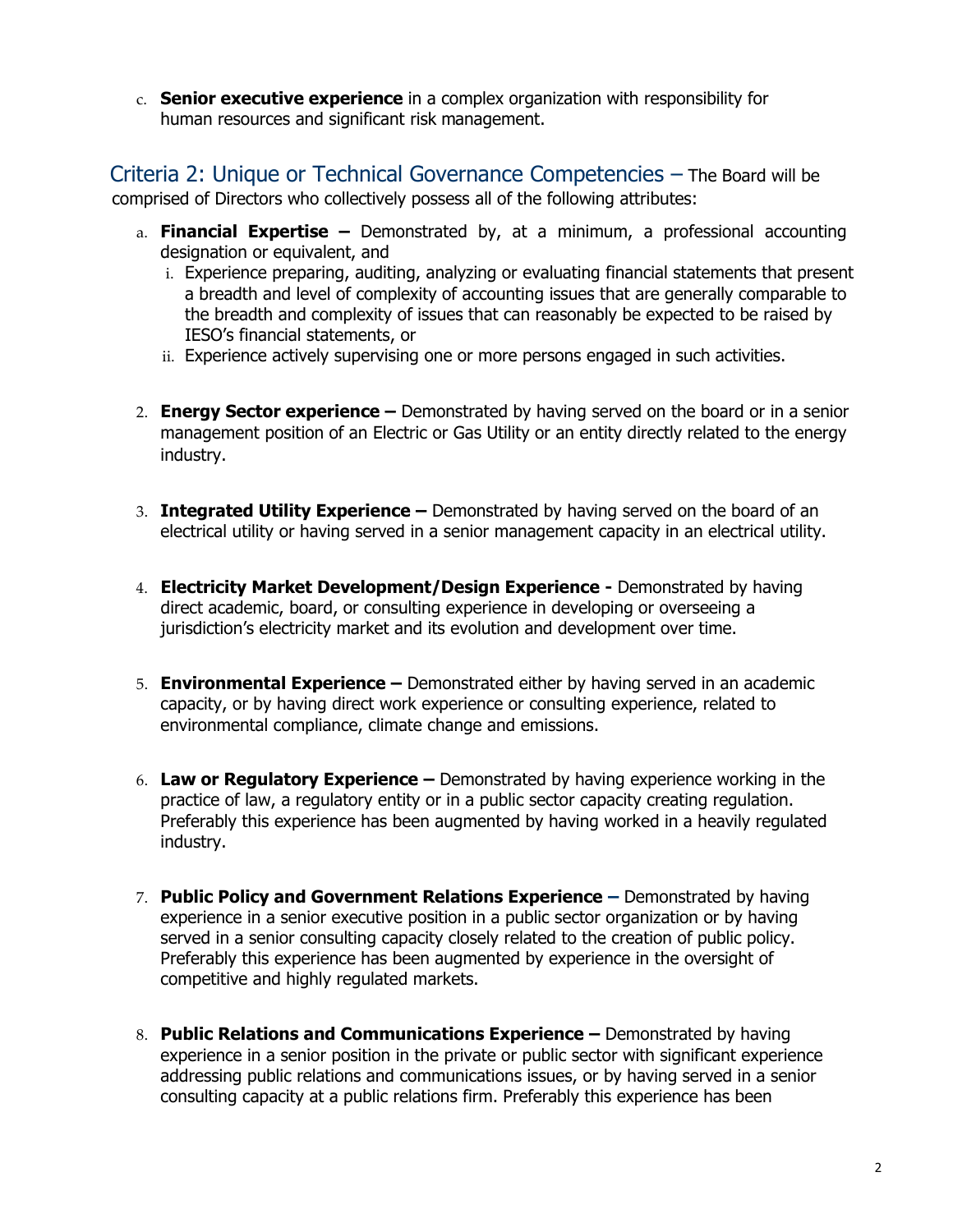c. **Senior executive experience** in a complex organization with responsibility for human resources and significant risk management.

Criteria 2: Unique or Technical Governance Competencies – The Board will be comprised of Directors who collectively possess all of the following attributes:

- a. **Financial Expertise –** Demonstrated by, at a minimum, a professional accounting designation or equivalent, and
	- i. Experience preparing, auditing, analyzing or evaluating financial statements that present a breadth and level of complexity of accounting issues that are generally comparable to the breadth and complexity of issues that can reasonably be expected to be raised by IESO's financial statements, or
	- ii. Experience actively supervising one or more persons engaged in such activities.
- 2. **Energy Sector experience –** Demonstrated by having served on the board or in a senior management position of an Electric or Gas Utility or an entity directly related to the energy industry.
- 3. **Integrated Utility Experience –** Demonstrated by having served on the board of an electrical utility or having served in a senior management capacity in an electrical utility.
- 4. **Electricity Market Development/Design Experience -** Demonstrated by having direct academic, board, or consulting experience in developing or overseeing a jurisdiction's electricity market and its evolution and development over time.
- 5. **Environmental Experience –** Demonstrated either by having served in an academic capacity, or by having direct work experience or consulting experience, related to environmental compliance, climate change and emissions.
- 6. **Law or Regulatory Experience –** Demonstrated by having experience working in the practice of law, a regulatory entity or in a public sector capacity creating regulation. Preferably this experience has been augmented by having worked in a heavily regulated industry.
- 7. **Public Policy and Government Relations Experience –** Demonstrated by having experience in a senior executive position in a public sector organization or by having served in a senior consulting capacity closely related to the creation of public policy. Preferably this experience has been augmented by experience in the oversight of competitive and highly regulated markets.
- 8. **Public Relations and Communications Experience –** Demonstrated by having experience in a senior position in the private or public sector with significant experience addressing public relations and communications issues, or by having served in a senior consulting capacity at a public relations firm. Preferably this experience has been